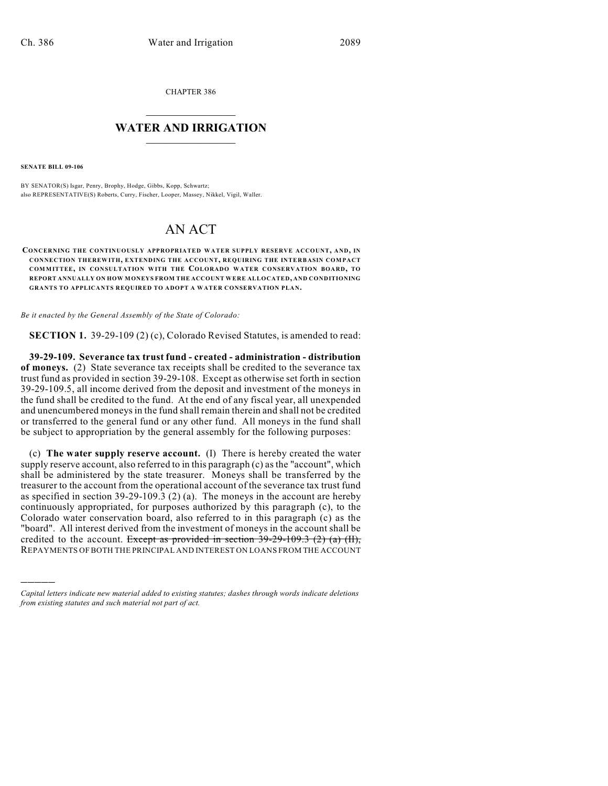CHAPTER 386

## $\mathcal{L}_\text{max}$  . The set of the set of the set of the set of the set of the set of the set of the set of the set of the set of the set of the set of the set of the set of the set of the set of the set of the set of the set **WATER AND IRRIGATION**  $\_$   $\_$

**SENATE BILL 09-106**

)))))

BY SENATOR(S) Isgar, Penry, Brophy, Hodge, Gibbs, Kopp, Schwartz; also REPRESENTATIVE(S) Roberts, Curry, Fischer, Looper, Massey, Nikkel, Vigil, Waller.

## AN ACT

**CONCERNING THE CONTINUOUSLY APPROPRIATED WATER SUPPLY RESERVE ACCOUNT, AND, IN CONNECTION THEREWITH, EXTENDING THE ACCOUNT, REQUIRING THE INTERBASIN COMPACT COMMITTEE, IN CONSULTATION WITH THE COLORADO WATER CONSERVATION BOARD, TO REPORT ANNUALLY ON HOW MONEYS FROM THE ACCOUNT WERE ALLOCATED, AND CONDITIONING GRANTS TO APPLICANTS REQUIRED TO ADOPT A WATER CONSERVATION PLAN.**

*Be it enacted by the General Assembly of the State of Colorado:*

**SECTION 1.** 39-29-109 (2) (c), Colorado Revised Statutes, is amended to read:

**39-29-109. Severance tax trust fund - created - administration - distribution of moneys.** (2) State severance tax receipts shall be credited to the severance tax trust fund as provided in section 39-29-108. Except as otherwise set forth in section 39-29-109.5, all income derived from the deposit and investment of the moneys in the fund shall be credited to the fund. At the end of any fiscal year, all unexpended and unencumbered moneys in the fund shall remain therein and shall not be credited or transferred to the general fund or any other fund. All moneys in the fund shall be subject to appropriation by the general assembly for the following purposes:

(c) **The water supply reserve account.** (I) There is hereby created the water supply reserve account, also referred to in this paragraph (c) as the "account", which shall be administered by the state treasurer. Moneys shall be transferred by the treasurer to the account from the operational account of the severance tax trust fund as specified in section 39-29-109.3 (2) (a). The moneys in the account are hereby continuously appropriated, for purposes authorized by this paragraph (c), to the Colorado water conservation board, also referred to in this paragraph (c) as the "board". All interest derived from the investment of moneys in the account shall be credited to the account. Except as provided in section  $39-29-109.3$  (2) (a) (II), REPAYMENTS OF BOTH THE PRINCIPAL AND INTEREST ON LOANS FROM THE ACCOUNT

*Capital letters indicate new material added to existing statutes; dashes through words indicate deletions from existing statutes and such material not part of act.*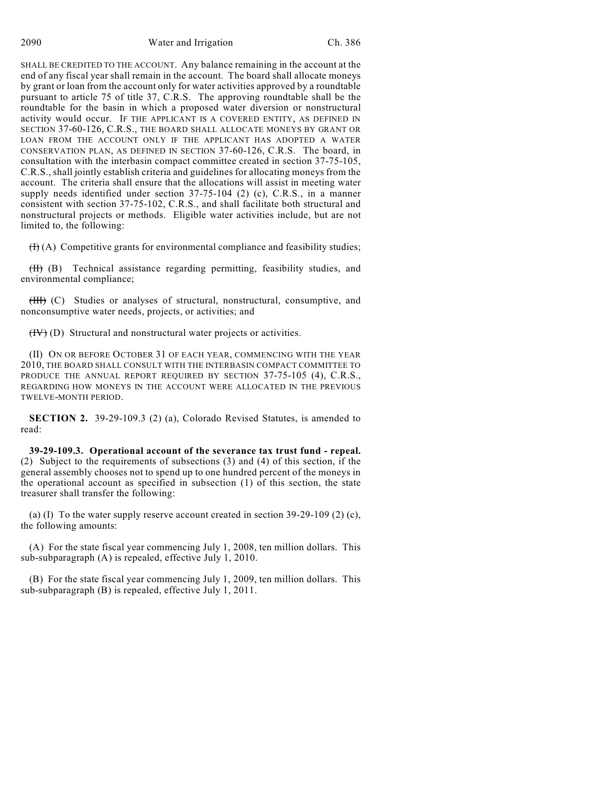SHALL BE CREDITED TO THE ACCOUNT. Any balance remaining in the account at the end of any fiscal year shall remain in the account. The board shall allocate moneys by grant or loan from the account only for water activities approved by a roundtable pursuant to article 75 of title 37, C.R.S. The approving roundtable shall be the roundtable for the basin in which a proposed water diversion or nonstructural activity would occur. IF THE APPLICANT IS A COVERED ENTITY, AS DEFINED IN SECTION 37-60-126, C.R.S., THE BOARD SHALL ALLOCATE MONEYS BY GRANT OR LOAN FROM THE ACCOUNT ONLY IF THE APPLICANT HAS ADOPTED A WATER CONSERVATION PLAN, AS DEFINED IN SECTION 37-60-126, C.R.S. The board, in consultation with the interbasin compact committee created in section 37-75-105, C.R.S., shall jointly establish criteria and guidelines for allocating moneys from the account. The criteria shall ensure that the allocations will assist in meeting water supply needs identified under section 37-75-104 (2) (c), C.R.S., in a manner consistent with section 37-75-102, C.R.S., and shall facilitate both structural and nonstructural projects or methods. Eligible water activities include, but are not limited to, the following:

 $(H(A))$  Competitive grants for environmental compliance and feasibility studies;

(II) (B) Technical assistance regarding permitting, feasibility studies, and environmental compliance;

(III) (C) Studies or analyses of structural, nonstructural, consumptive, and nonconsumptive water needs, projects, or activities; and

 $(HV)$  (D) Structural and nonstructural water projects or activities.

(II) ON OR BEFORE OCTOBER 31 OF EACH YEAR, COMMENCING WITH THE YEAR 2010, THE BOARD SHALL CONSULT WITH THE INTERBASIN COMPACT COMMITTEE TO PRODUCE THE ANNUAL REPORT REQUIRED BY SECTION 37-75-105 (4), C.R.S., REGARDING HOW MONEYS IN THE ACCOUNT WERE ALLOCATED IN THE PREVIOUS TWELVE-MONTH PERIOD.

**SECTION 2.** 39-29-109.3 (2) (a), Colorado Revised Statutes, is amended to read:

**39-29-109.3. Operational account of the severance tax trust fund - repeal.** (2) Subject to the requirements of subsections (3) and (4) of this section, if the general assembly chooses not to spend up to one hundred percent of the moneys in the operational account as specified in subsection (1) of this section, the state treasurer shall transfer the following:

(a) (I) To the water supply reserve account created in section  $39-29-109$  (2) (c), the following amounts:

(A) For the state fiscal year commencing July 1, 2008, ten million dollars. This sub-subparagraph (A) is repealed, effective July 1, 2010.

(B) For the state fiscal year commencing July 1, 2009, ten million dollars. This sub-subparagraph (B) is repealed, effective July 1, 2011.